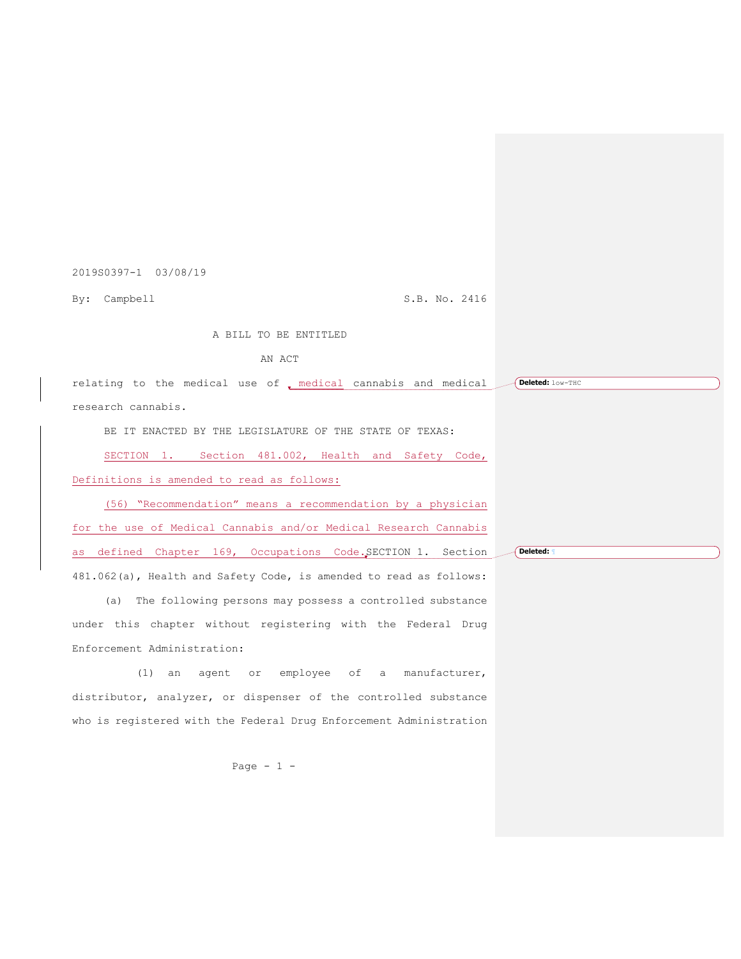2019S0397-1 03/08/19

By: Campbell S.B. No. 2416

**Deleted:** ¶

A BILL TO BE ENTITLED

AN ACT

relating to the medical use of , medical cannabis and medical  $\Box$  (Deleted: low-THC research cannabis.

BE IT ENACTED BY THE LEGISLATURE OF THE STATE OF TEXAS:

SECTION 1. Section 481.002, Health and Safety Code, Definitions is amended to read as follows:

(56) "Recommendation" means a recommendation by a physician for the use of Medical Cannabis and/or Medical Research Cannabis as defined Chapter 169, Occupations Code.SECTION 1. Section 481.062(a), Health and Safety Code, is amended to read as follows:

(a) The following persons may possess a controlled substance under this chapter without registering with the Federal Drug Enforcement Administration:

(1) an agent or employee of a manufacturer, distributor, analyzer, or dispenser of the controlled substance who is registered with the Federal Drug Enforcement Administration

Page - 1 -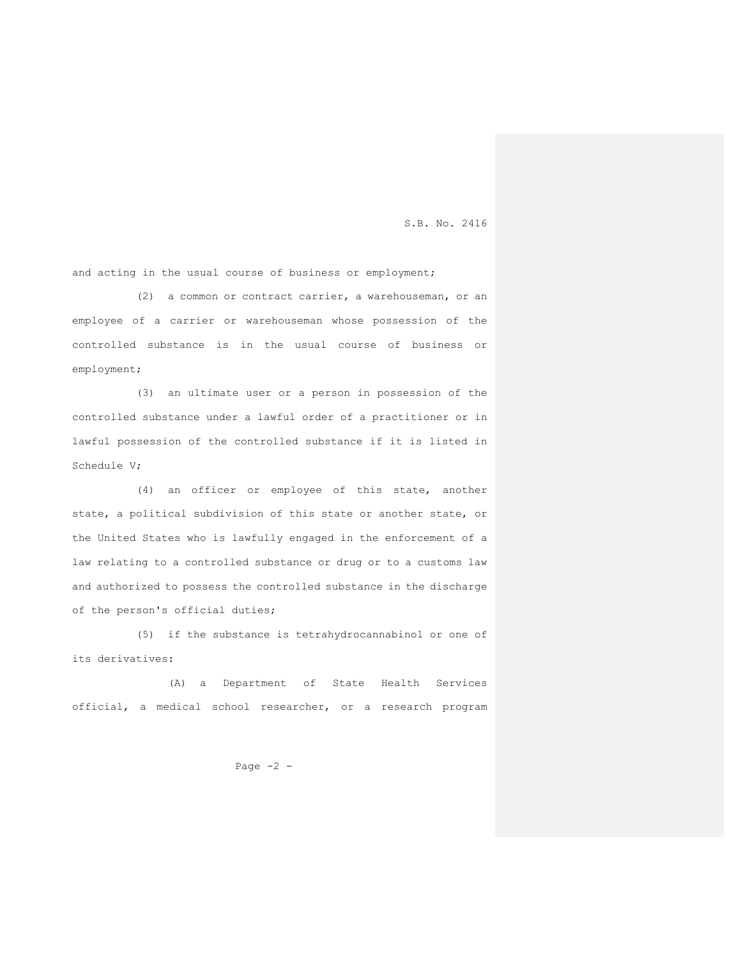and acting in the usual course of business or employment;

(2) a common or contract carrier, a warehouseman, or an employee of a carrier or warehouseman whose possession of the controlled substance is in the usual course of business or employment;

(3) an ultimate user or a person in possession of the controlled substance under a lawful order of a practitioner or in lawful possession of the controlled substance if it is listed in Schedule V;

(4) an officer or employee of this state, another state, a political subdivision of this state or another state, or the United States who is lawfully engaged in the enforcement of a law relating to a controlled substance or drug or to a customs law and authorized to possess the controlled substance in the discharge of the person's official duties;

(5) if the substance is tetrahydrocannabinol or one of its derivatives:

(A) a Department of State Health Services official, a medical school researcher, or a research program

Page  $-2$  -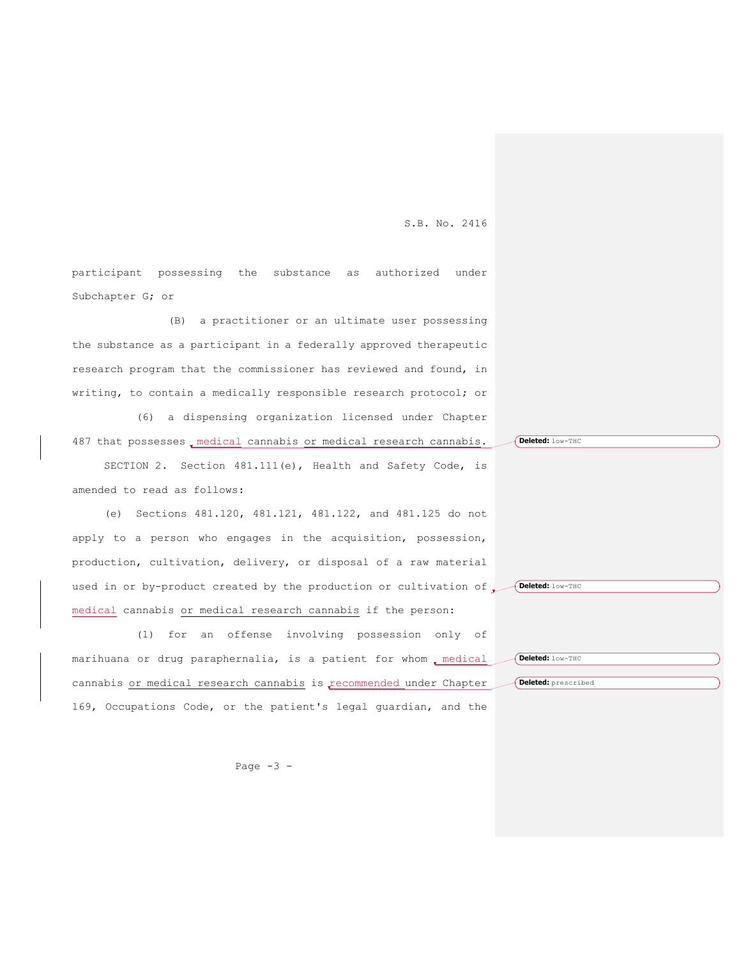participant possessing the substance as authorized under Subchapter G; or

(B) a practitioner or an ultimate user possessing the substance as a participant in a federally approved therapeutic research program that the commissioner has reviewed and found, in writing, to contain a medically responsible research protocol; or

(6) a dispensing organization licensed under Chapter 487 that possesses, medical cannabis or medical research cannabis.

SECTION 2. Section 481.111(e), Health and Safety Code, is amended to read as follows:

(e) Sections 481.120, 481.121, 481.122, and 481.125 do not apply to a person who engages in the acquisition, possession, production, cultivation, delivery, or disposal of a raw material used in or by-product created by the production or cultivation of **Deleted:** low-THC medical cannabis or medical research cannabis if the person:

(1) for an offense involving possession only of marihuana or drug paraphernalia, is a patient for whom emedical cannabis or medical research cannabis is recommended under Chapter 169, Occupations Code, or the patient's legal guardian, and the **Deleted:** low-THC **Deleted:** prescribed

**Deleted:** low-THC

Page  $-3$  -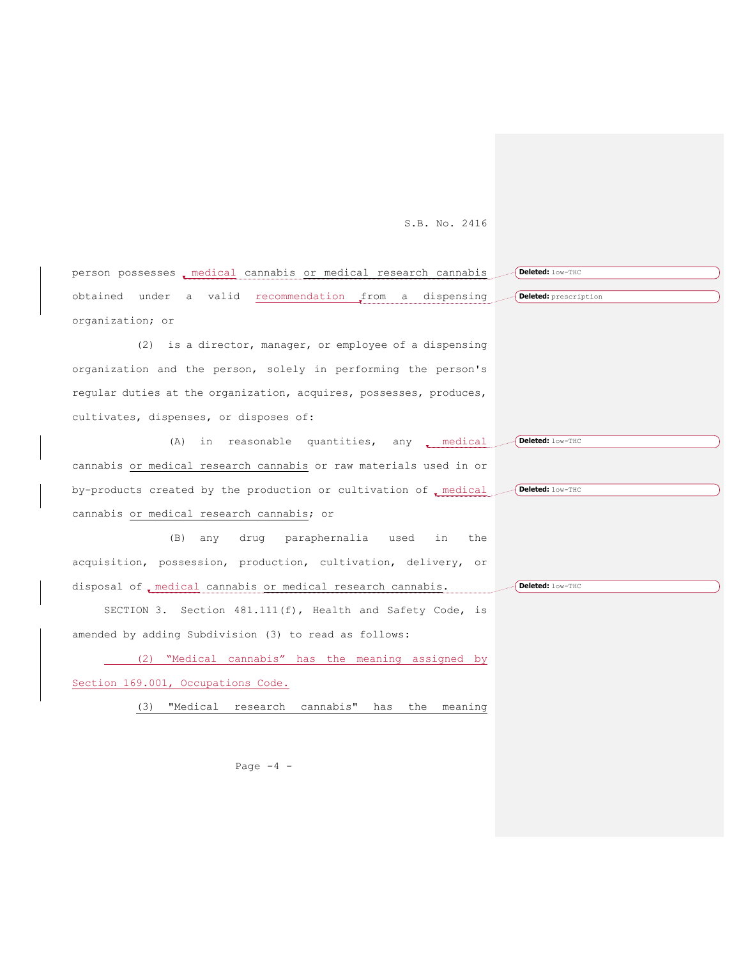| person possesses, medical cannabis or medical research cannabis    | Deleted: low-THC      |
|--------------------------------------------------------------------|-----------------------|
| obtained under a valid recommendation from a<br>dispensing         | Deleted: prescription |
| organization; or                                                   |                       |
| (2) is a director, manager, or employee of a dispensing            |                       |
| organization and the person, solely in performing the person's     |                       |
| reqular duties at the organization, acquires, possesses, produces, |                       |
| cultivates, dispenses, or disposes of:                             |                       |
| in reasonable quantities, any medical<br>(A)                       | Deleted: low-THC      |
| cannabis or medical research cannabis or raw materials used in or  |                       |
| by-products created by the production or cultivation of medical    | Deleted: low-THC      |
| cannabis or medical research cannabis; or                          |                       |
| paraphernalia used<br>(B)<br>drug<br>in<br>the<br>any              |                       |
| acquisition, possession, production, cultivation, delivery, or     |                       |
| disposal of medical cannabis or medical research cannabis.         | Deleted: low-THC      |
| SECTION 3. Section 481.111(f), Health and Safety Code, is          |                       |
| amended by adding Subdivision (3) to read as follows:              |                       |
| (2) "Medical cannabis" has the meaning assigned by                 |                       |
| Section 169.001, Occupations Code.                                 |                       |
| (3)<br>"Medical research cannabis" has the meaning                 |                       |

Page  $-4$  -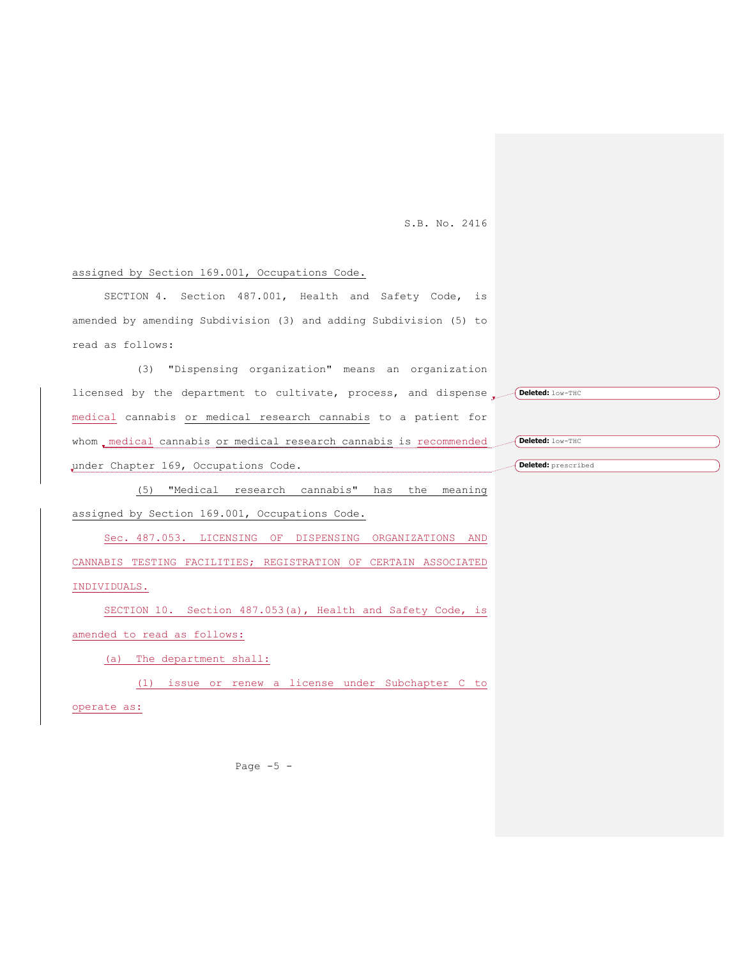## assigned by Section 169.001, Occupations Code.

SECTION 4. Section 487.001, Health and Safety Code, is amended by amending Subdivision (3) and adding Subdivision (5) to read as follows:

(3) "Dispensing organization" means an organization licensed by the department to cultivate, process, and dispense **Deleted:** low-THC medical cannabis or medical research cannabis to a patient for whom medical cannabis or medical research cannabis is recommended under Chapter 169, Occupations Code.

(5) "Medical research cannabis" has the meaning assigned by Section 169.001, Occupations Code.

Sec. 487.053. LICENSING OF DISPENSING ORGANIZATIONS AND CANNABIS TESTING FACILITIES; REGISTRATION OF CERTAIN ASSOCIATED INDIVIDUALS.

SECTION 10. Section 487.053(a), Health and Safety Code, is amended to read as follows:

(a) The department shall:

(1) issue or renew a license under Subchapter C to

operate as:

Page  $-5$  -

**Deleted:** low-THC

```
Deleted: prescribed
```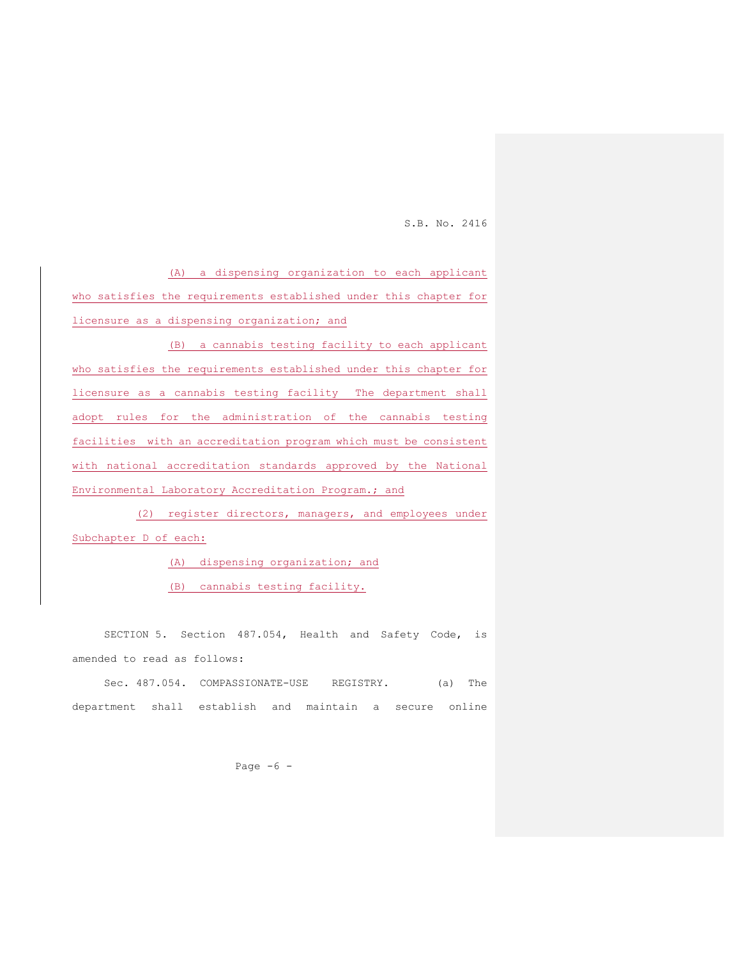(A) a dispensing organization to each applicant who satisfies the requirements established under this chapter for licensure as a dispensing organization; and

(B) a cannabis testing facility to each applicant who satisfies the requirements established under this chapter for licensure as a cannabis testing facility The department shall adopt rules for the administration of the cannabis testing facilities with an accreditation program which must be consistent with national accreditation standards approved by the National Environmental Laboratory Accreditation Program.; and

(2) register directors, managers, and employees under Subchapter D of each:

(A) dispensing organization; and

(B) cannabis testing facility.

SECTION 5. Section 487.054, Health and Safety Code, is amended to read as follows:

Sec. 487.054. COMPASSIONATE-USE REGISTRY. (a) The department shall establish and maintain a secure online

Page  $-6$  -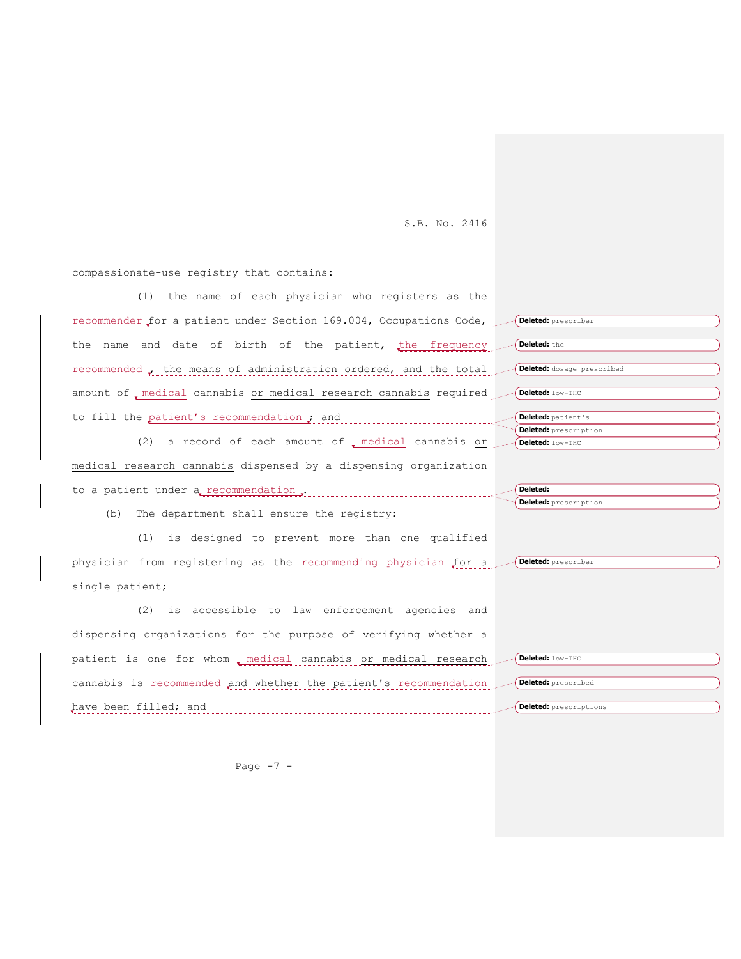compassionate-use registry that contains:

(1) the name of each physician who registers as the recommender for a patient under Section 169.004, Occupations Code, the name and date of birth of the patient, the frequency recommended , the means of administration ordered, and the total amount of , medical cannabis or medical research cannabis required to fill the patient's recommendation ; and (2) a record of each amount of  $\sqrt{ }$  medical cannabis or medical research cannabis dispensed by a dispensing organization to a patient under a recommendation. (b) The department shall ensure the registry: (1) is designed to prevent more than one qualified physician from registering as the recommending physician for a single patient; (2) is accessible to law enforcement agencies and dispensing organizations for the purpose of verifying whether a patient is one for whom medical cannabis or medical research cannabis is recommended and whether the patient's recommendation have been filled; and **Deleted:** prescriber **Deleted:** the **Deleted:** dosage prescribed **Deleted:** low-THC **Deleted:** patient's **Deleted:** prescription **Deleted:** low-THC **Deleted: Deleted:** prescription **Deleted:** prescriber **Deleted:** low-THC **Deleted:** prescribed **Deleted:** prescriptions

Page  $-7 -$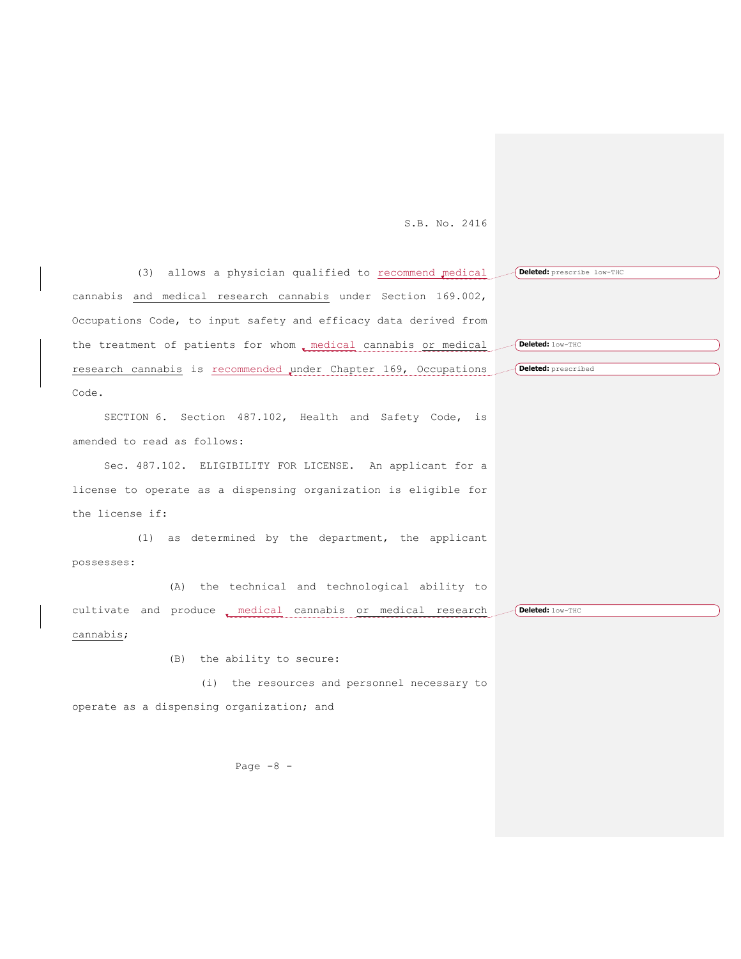| (3) allows a physician qualified to recommend medical            | Deleted: prescribe low-THC |
|------------------------------------------------------------------|----------------------------|
| cannabis and medical research cannabis under Section 169.002,    |                            |
| Occupations Code, to input safety and efficacy data derived from |                            |
| the treatment of patients for whom , medical cannabis or medical | Deleted: low-THC           |
| research cannabis is recommended under Chapter 169, Occupations  | Deleted: prescribed        |
| Code.                                                            |                            |
| SECTION 6. Section 487.102, Health and Safety Code, is           |                            |
| amended to read as follows:                                      |                            |
| Sec. 487.102. ELIGIBILITY FOR LICENSE. An applicant for a        |                            |
| license to operate as a dispensing organization is eligible for  |                            |
| the license if:                                                  |                            |
| (1) as determined by the department, the applicant               |                            |
| possesses:                                                       |                            |
| (A) the technical and technological ability to                   |                            |
| cultivate and produce . medical cannabis or medical research     | Deleted: low-THC           |
| cannabis;                                                        |                            |
| the ability to secure:<br>(B)                                    |                            |
| (i) the resources and personnel necessary to                     |                            |
| operate as a dispensing organization; and                        |                            |
|                                                                  |                            |
|                                                                  |                            |
| Page $-8$ -                                                      |                            |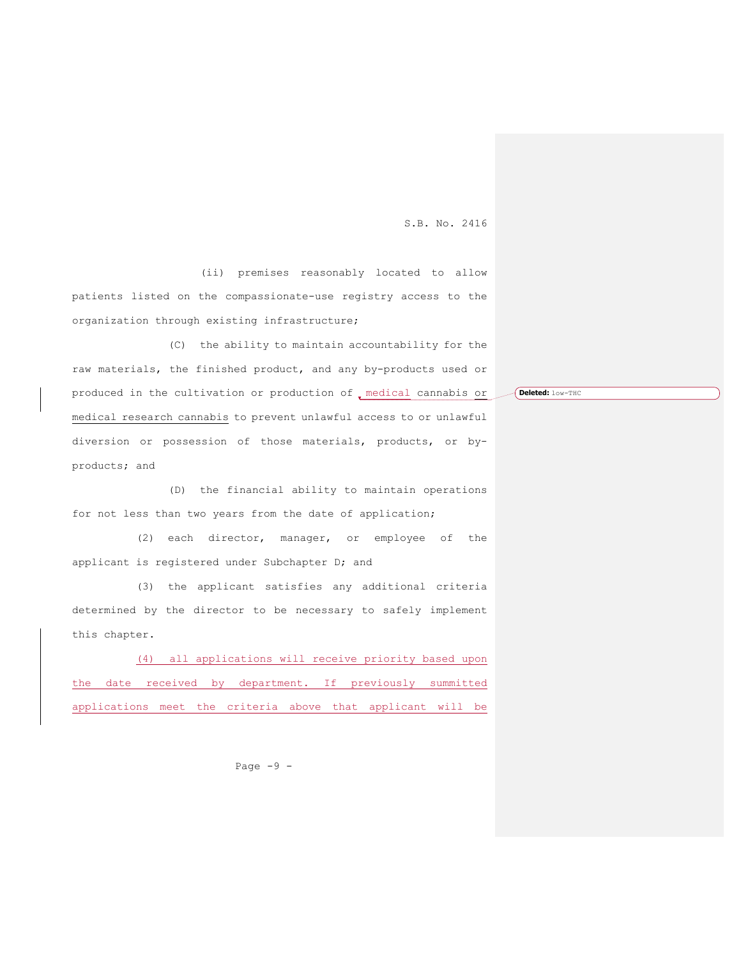(ii) premises reasonably located to allow patients listed on the compassionate-use registry access to the organization through existing infrastructure;

(C) the ability to maintain accountability for the raw materials, the finished product, and any by-products used or produced in the cultivation or production of , medical cannabis or medical research cannabis to prevent unlawful access to or unlawful diversion or possession of those materials, products, or byproducts; and

(D) the financial ability to maintain operations for not less than two years from the date of application;

(2) each director, manager, or employee of the applicant is registered under Subchapter D; and

(3) the applicant satisfies any additional criteria determined by the director to be necessary to safely implement this chapter.

(4) all applications will receive priority based upon the date received by department. If previously summitted applications meet the criteria above that applicant will be

Page  $-9 -$ 

**Deleted:** low-THC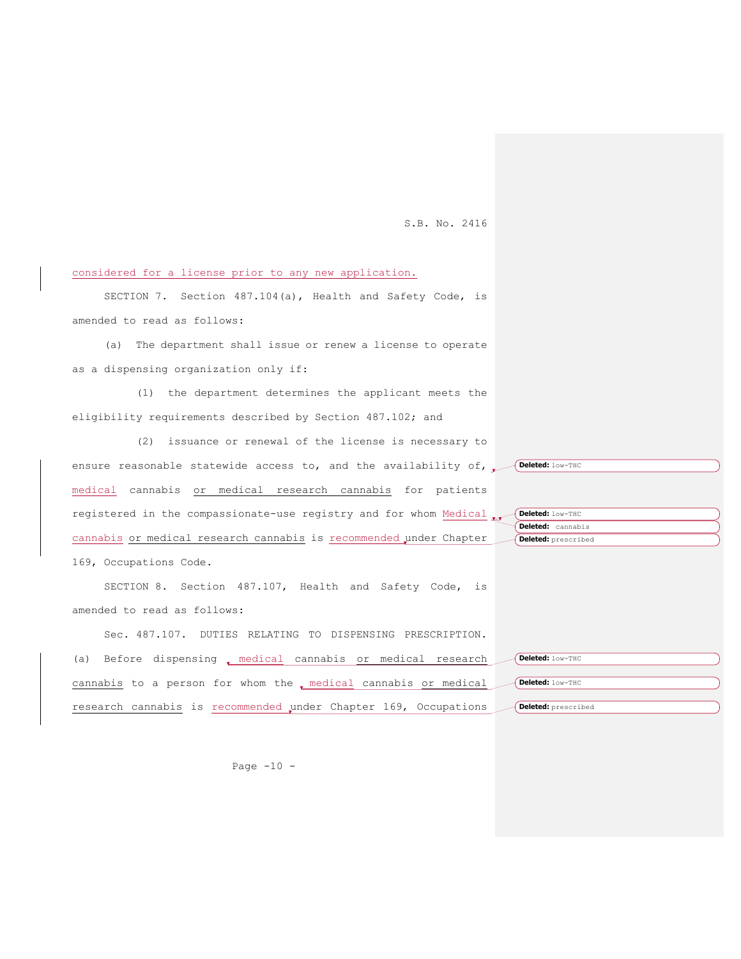**Deleted:** cannabis **Deleted:** prescribed

considered for a license prior to any new application.

SECTION 7. Section 487.104(a), Health and Safety Code, is amended to read as follows:

(a) The department shall issue or renew a license to operate as a dispensing organization only if:

(1) the department determines the applicant meets the eligibility requirements described by Section 487.102; and

(2) issuance or renewal of the license is necessary to ensure reasonable statewide access to, and the availability of, **Deleted:** low-THC medical cannabis or medical research cannabis for patients registered in the compassionate-use registry and for whom Medical **Peleted:** low-THC cannabis or medical research cannabis is recommended under Chapter 169, Occupations Code.

SECTION 8. Section 487.107, Health and Safety Code, is amended to read as follows:

| Sec. 487.107. DUTIES RELATING TO DISPENSING PRESCRIPTION.                            |
|--------------------------------------------------------------------------------------|
| (a) Before dispensing emedical cannabis or medical research<br>Deleted: low-THC      |
| cannabis to a person for whom the medical cannabis or medical (Deleted: low-THC      |
| research cannabis is recommended under Chapter 169, Occupations (Deleted: prescribed |

Page  $-10$  -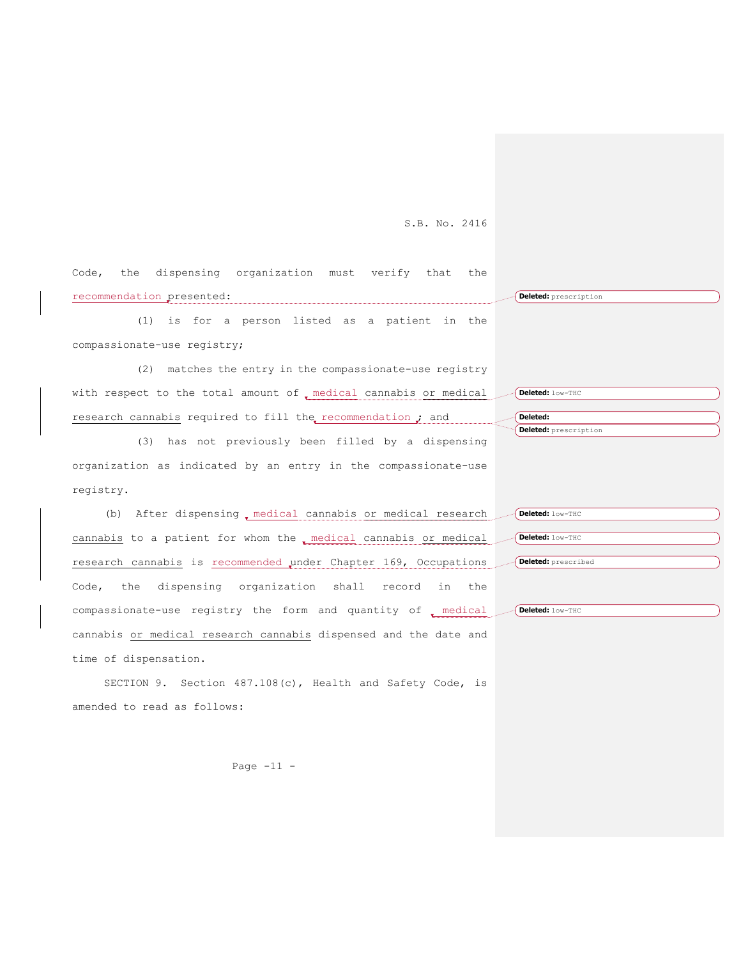Code, the dispensing organization must verify that the recommendation presented: **Deleted:** prescription

(1) is for a person listed as a patient in the compassionate-use registry;

(2) matches the entry in the compassionate-use registry with respect to the total amount of , medical cannabis or medical research cannabis required to fill the recommendation  $\boldsymbol{j}$  and

(3) has not previously been filled by a dispensing organization as indicated by an entry in the compassionate-use registry.

(b) After dispensing , medical cannabis or medical research cannabis to a patient for whom the medical cannabis or medical research cannabis is recommended under Chapter 169, Occupations Code, the dispensing organization shall record in the compassionate-use registry the form and quantity of medical cannabis or medical research cannabis dispensed and the date and time of dispensation.

SECTION 9. Section 487.108(c), Health and Safety Code, is amended to read as follows:

Page  $-11 -$ 

**Deleted: Deleted:** prescription

**Deleted:** low-THC

**Deleted:** prescribed

**Deleted:** low-THC

**Deleted:** low-THC **Deleted:** low-THC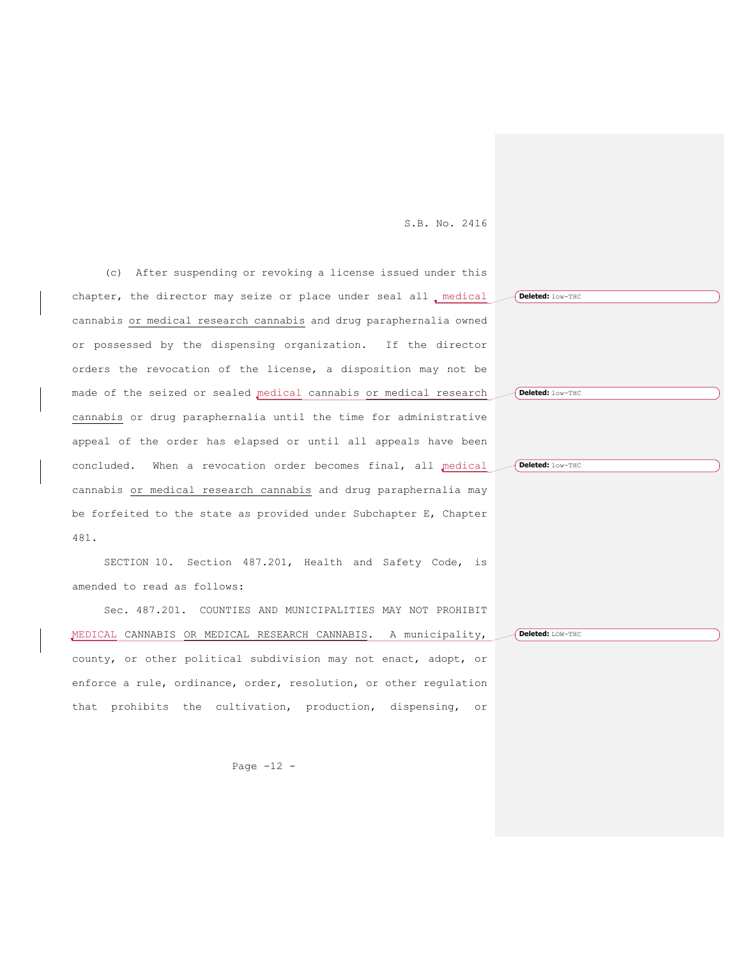(c) After suspending or revoking a license issued under this chapter, the director may seize or place under seal all emdical cannabis or medical research cannabis and drug paraphernalia owned or possessed by the dispensing organization. If the director orders the revocation of the license, a disposition may not be made of the seized or sealed medical cannabis or medical research cannabis or drug paraphernalia until the time for administrative appeal of the order has elapsed or until all appeals have been concluded. When a revocation order becomes final, all medical cannabis or medical research cannabis and drug paraphernalia may be forfeited to the state as provided under Subchapter E, Chapter 481.

SECTION 10. Section 487.201, Health and Safety Code, is amended to read as follows:

Sec. 487.201. COUNTIES AND MUNICIPALITIES MAY NOT PROHIBIT MEDICAL CANNABIS OR MEDICAL RESEARCH CANNABIS. A municipality, county, or other political subdivision may not enact, adopt, or enforce a rule, ordinance, order, resolution, or other regulation that prohibits the cultivation, production, dispensing, or

Page  $-12$  -

**Deleted:** low-THC **Deleted:** low-THC **Deleted:** low-THC

**Deleted:** LOW-THC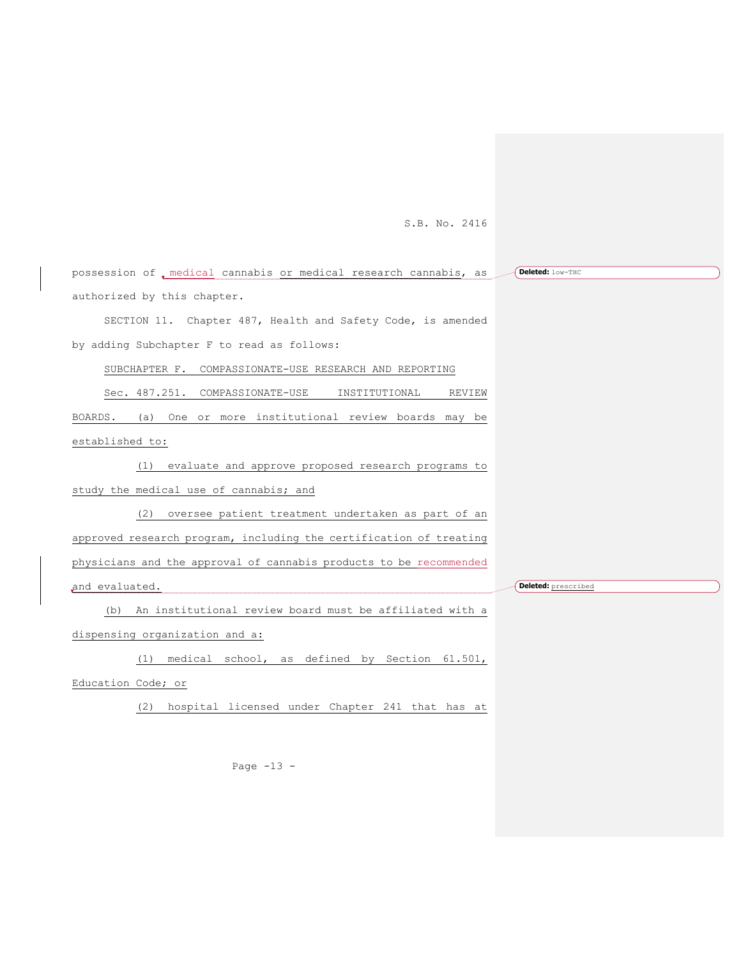| possession of , medical cannabis or medical research cannabis, as  | Deleted: low-THC    |
|--------------------------------------------------------------------|---------------------|
| authorized by this chapter.                                        |                     |
| SECTION 11. Chapter 487, Health and Safety Code, is amended        |                     |
| by adding Subchapter F to read as follows:                         |                     |
| SUBCHAPTER F. COMPASSIONATE-USE RESEARCH AND REPORTING             |                     |
| Sec. 487.251. COMPASSIONATE-USE<br>INSTITUTIONAL<br>REVIEW         |                     |
| (a) One or more institutional review boards may be<br>BOARDS.      |                     |
| established to:                                                    |                     |
| (1) evaluate and approve proposed research programs to             |                     |
| study the medical use of cannabis; and                             |                     |
| (2) oversee patient treatment undertaken as part of an             |                     |
| approved research program, including the certification of treating |                     |
| physicians and the approval of cannabis products to be recommended |                     |
| and evaluated.                                                     | Deleted: prescribed |
| (b) An institutional review board must be affiliated with a        |                     |
| dispensing organization and a:                                     |                     |
| medical school, as defined by Section 61.501,<br>(1)               |                     |
| Education Code; or                                                 |                     |

(2) hospital licensed under Chapter 241 that has at

Page -13 -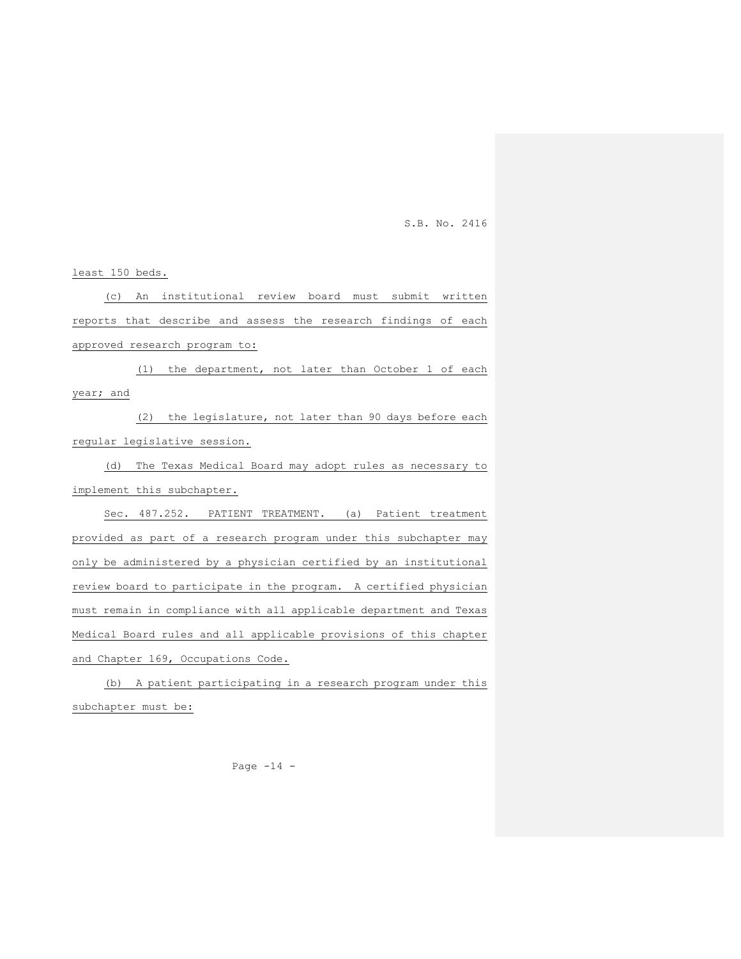least 150 beds.

(c) An institutional review board must submit written reports that describe and assess the research findings of each approved research program to:

(1) the department, not later than October 1 of each year; and

(2) the legislature, not later than 90 days before each regular legislative session.

(d) The Texas Medical Board may adopt rules as necessary to implement this subchapter.

Sec. 487.252. PATIENT TREATMENT. (a) Patient treatment provided as part of a research program under this subchapter may only be administered by a physician certified by an institutional review board to participate in the program. A certified physician must remain in compliance with all applicable department and Texas Medical Board rules and all applicable provisions of this chapter and Chapter 169, Occupations Code.

(b) A patient participating in a research program under this subchapter must be:

Page  $-14$  -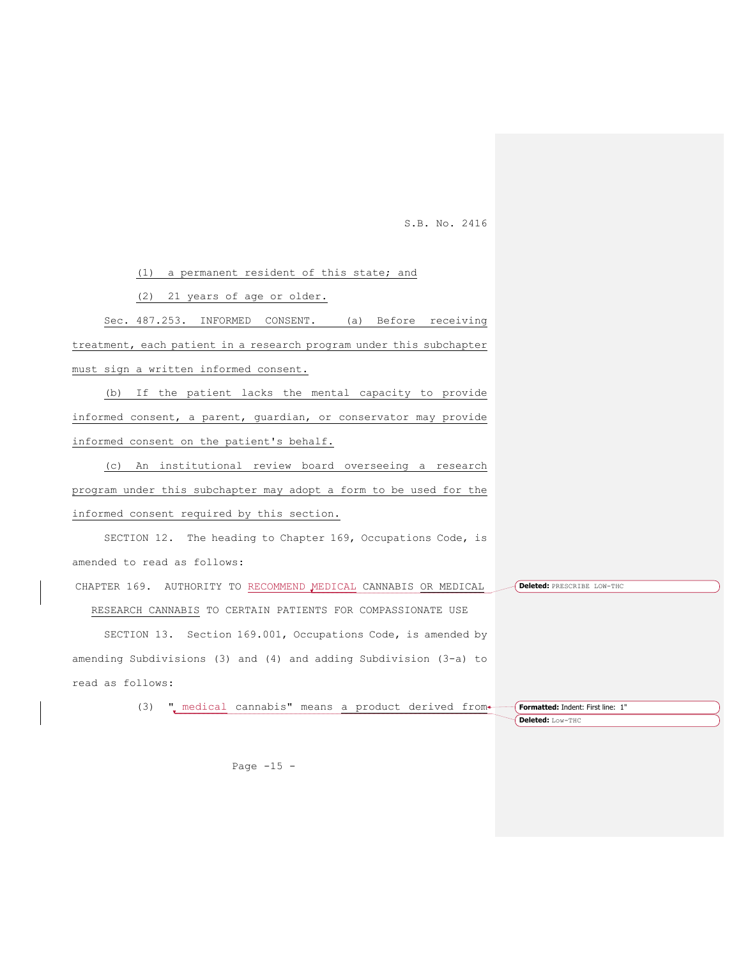(1) a permanent resident of this state; and

(2) 21 years of age or older.

Sec. 487.253. INFORMED CONSENT. (a) Before receiving treatment, each patient in a research program under this subchapter must sign a written informed consent.

(b) If the patient lacks the mental capacity to provide informed consent, a parent, guardian, or conservator may provide informed consent on the patient's behalf.

(c) An institutional review board overseeing a research program under this subchapter may adopt a form to be used for the informed consent required by this section.

SECTION 12. The heading to Chapter 169, Occupations Code, is amended to read as follows:

CHAPTER 169. AUTHORITY TO RECOMMEND MEDICAL CANNABIS OR MEDICAL **Deleted:** PRESCRIBE LOW-THC

RESEARCH CANNABIS TO CERTAIN PATIENTS FOR COMPASSIONATE USE

SECTION 13. Section 169.001, Occupations Code, is amended by amending Subdivisions (3) and (4) and adding Subdivision (3-a) to read as follows:

> (3)  $"$ , medical cannabis" means a product derived from **Formatted:** Indent: First line: 1"

**Deleted:** Low-THC

Page  $-15$  -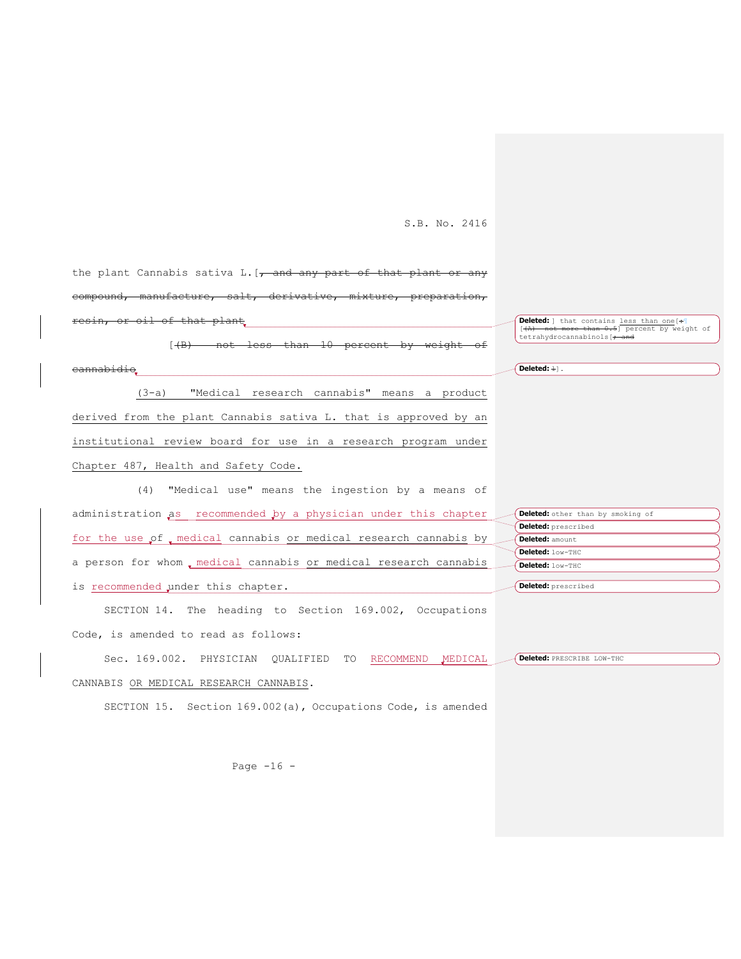the plant Cannabis sativa L.  $[-$  and any part of derivative, of that plant<sub>rand</sub>  $[$  (B) not less than 10 percent by weight <del>nnabidi</del> (3-a) "Medical research cannabis" means a product derived from the plant Cannabis sativa L. that is approved by an institutional review board for use in a research program under Chapter 487, Health and Safety Code. (4) "Medical use" means the ingestion by a means of **Deleted:** ] that contains <u>less than one</u> [+ [[(A) not more than 0.5] percent by weight of  $t$ tetrahydrocannabinols $\mathfrak{f}$  $\sqrt{\text{Deleted: } \pm 1}$ .

administration as recommended by a physician under this chapter for the use of medical cannabis or medical research cannabis by a person for whom medical cannabis or medical research cannabis is recommended under this chapter. **Deleted:** other than by smoking of **Deleted:** prescribed **Deleted:** amount **Deleted:** low-THC **Deleted:** low-THC **Deleted:** prescribed

SECTION 14. The heading to Section 169.002, Occupations Code, is amended to read as follows:

Sec. 169.002. PHYSICIAN QUALIFIED TO RECOMMEND MEDICAL CANNABIS OR MEDICAL RESEARCH CANNABIS. **Deleted:** PRESCRIBE LOW-THC

SECTION 15. Section 169.002(a), Occupations Code, is amended

Page  $-16$  -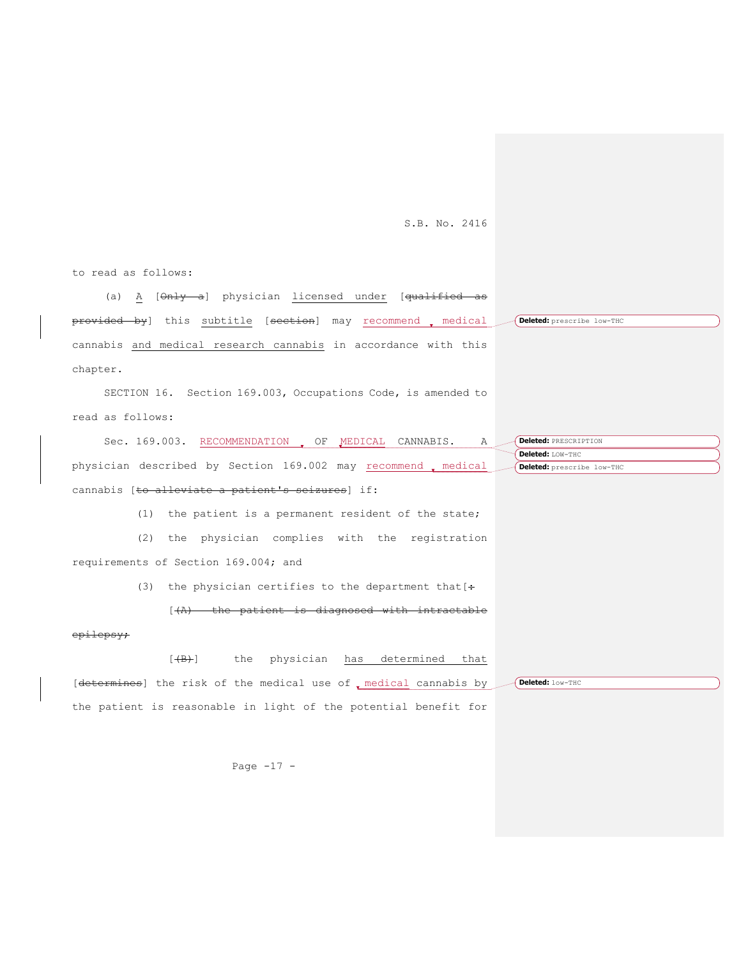to read as follows:

(a) A [Only a] physician licensed under [qualified as provided by] this subtitle [section] may recommend medical cannabis and medical research cannabis in accordance with this chapter. **Deleted:** prescribe low-THC

SECTION 16. Section 169.003, Occupations Code, is amended to read as follows:

Sec. 169.003. RECOMMENDATION, OF MEDICAL CANNABIS. A physician described by Section 169.002 may recommend medical cannabis [to alleviate a patient's seizures] if: **Deleted:** PRESCRIPTION **Deleted:** LOW-THC **Deleted:** prescribe low-THC

(1) the patient is a permanent resident of the state;

(2) the physician complies with the registration requirements of Section 169.004; and

(3) the physician certifies to the department that  $[$  +

[(A) the patient is diagnosed with intractable

## epilepsy;

[(B)] the physician has determined that [determines] the risk of the medical use of , medical cannabis by the patient is reasonable in light of the potential benefit for **Deleted:** low-THC

Page  $-17 -$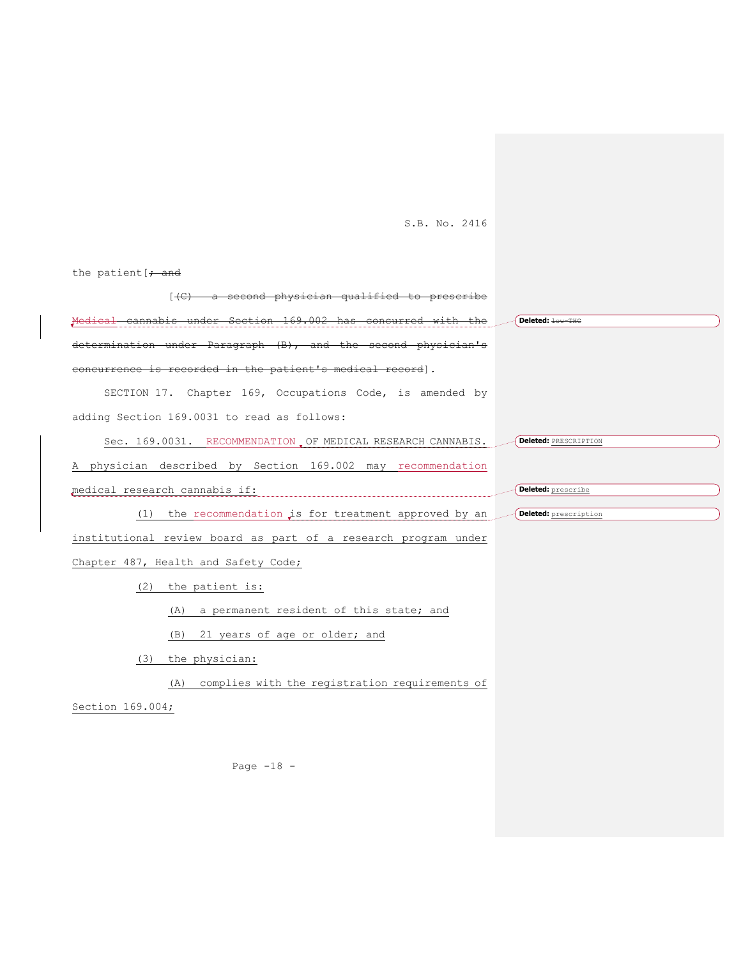the patient  $\mathfrak{f}$  and

| $[ (C)$ a second physician qualified to prescribe              |                              |
|----------------------------------------------------------------|------------------------------|
| Medical cannabis under Section 169.002 has concurred with the  | Deleted: <b>low-THG</b>      |
| determination under Paragraph (B), and the second physician's  |                              |
| concurrence is recorded in the patient's medical record].      |                              |
| SECTION 17. Chapter 169, Occupations Code, is amended by       |                              |
| adding Section 169.0031 to read as follows:                    |                              |
| Sec. 169.0031. RECOMMENDATION OF MEDICAL RESEARCH CANNABIS.    | <b>Deleted: PRESCRIPTION</b> |
| A physician described by Section 169.002 may recommendation    |                              |
| medical research cannabis if:                                  | Deleted: prescribe           |
| the recommendation is for treatment approved by an<br>(1)      | Deleted: prescription        |
| institutional review board as part of a research program under |                              |
| Chapter 487, Health and Safety Code;                           |                              |
| (2) the patient is:                                            |                              |
| a permanent resident of this state; and<br>(A)                 |                              |
| 21 years of age or older; and<br>(B)                           |                              |
| the physician:<br>(3)                                          |                              |
| complies with the registration requirements of<br>(A)          |                              |
| Section 169.004;                                               |                              |
|                                                                |                              |
|                                                                |                              |
| Page $-18$ -                                                   |                              |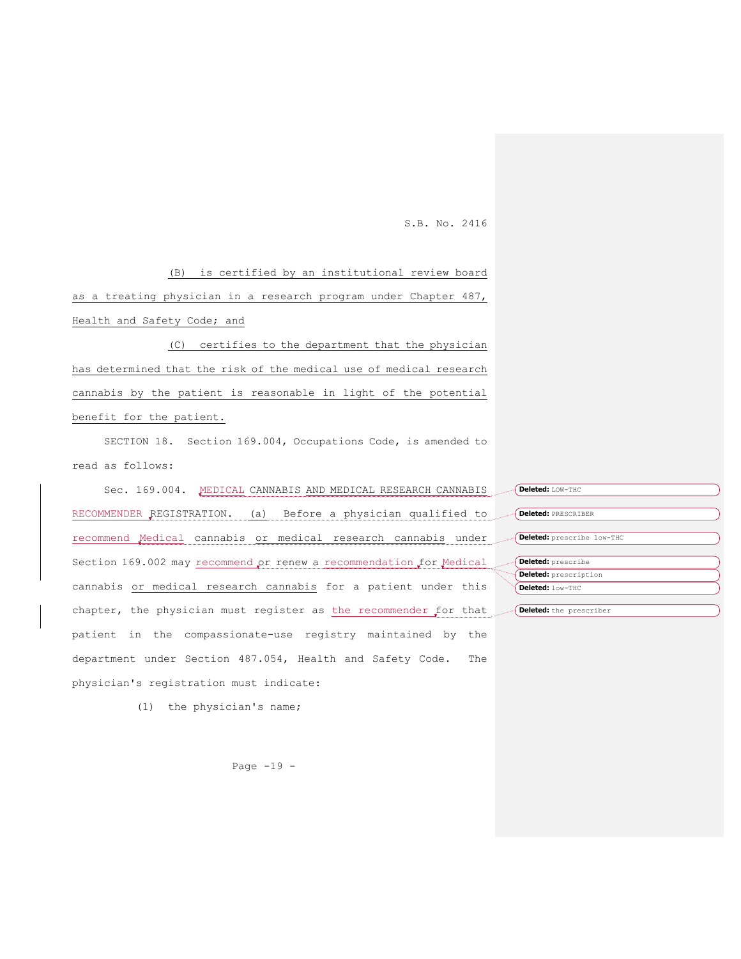(B) is certified by an institutional review board as a treating physician in a research program under Chapter 487, Health and Safety Code; and

(C) certifies to the department that the physician has determined that the risk of the medical use of medical research cannabis by the patient is reasonable in light of the potential benefit for the patient.

SECTION 18. Section 169.004, Occupations Code, is amended to read as follows:

Sec. 169.004. MEDICAL CANNABIS AND MEDICAL RESEARCH CANNABIS RECOMMENDER REGISTRATION. (a) Before a physician qualified to recommend Medical cannabis or medical research cannabis under Section 169.002 may recommend or renew a recommendation for Medical cannabis or medical research cannabis for a patient under this chapter, the physician must register as the recommender for that patient in the compassionate-use registry maintained by the department under Section 487.054, Health and Safety Code. The physician's registration must indicate:

(1) the physician's name;

**Deleted:** LOW-THC **Deleted:** PRESCRIBER **Deleted:** prescribe low-THC **Deleted:** prescribe **Deleted:** prescription **Deleted:** low-THC **Deleted:** the prescriber

Page -19 -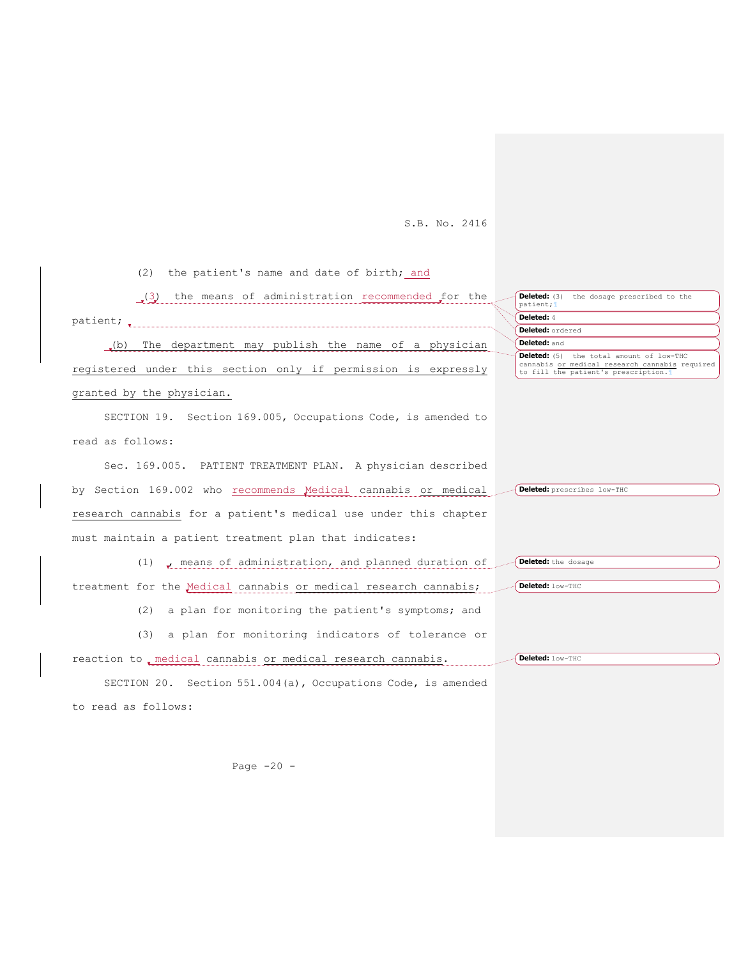(2) the patient's name and date of birth; and

| (3) the means of administration recommended for the              | <b>Deleted:</b> (3) the dosage prescribed to the<br>patient;                                                                              |
|------------------------------------------------------------------|-------------------------------------------------------------------------------------------------------------------------------------------|
|                                                                  | Deleted: 4                                                                                                                                |
|                                                                  | Deleted: ordered                                                                                                                          |
| .(b) The department may publish the name of a physician          | Deleted: and                                                                                                                              |
| registered under this section only if permission is expressly    | <b>Deleted:</b> (5) the total amount of low-THC<br>cannabis or medical research cannabis required<br>to fill the patient's prescription.1 |
| granted by the physician.                                        |                                                                                                                                           |
| SECTION 19. Section 169.005, Occupations Code, is amended to     |                                                                                                                                           |
| read as follows:                                                 |                                                                                                                                           |
| Sec. 169.005. PATIENT TREATMENT PLAN. A physician described      |                                                                                                                                           |
| by Section 169.002 who recommends Medical cannabis or medical    | Deleted: prescribes low-THC                                                                                                               |
| research cannabis for a patient's medical use under this chapter |                                                                                                                                           |
| must maintain a patient treatment plan that indicates:           |                                                                                                                                           |
| $(1)$ , means of administration, and planned duration of         | Deleted: the dosage                                                                                                                       |
| treatment for the Medical cannabis or medical research cannabis; | Deleted: low-THC                                                                                                                          |
| a plan for monitoring the patient's symptoms; and<br>(2)         |                                                                                                                                           |
| (3) a plan for monitoring indicators of tolerance or             |                                                                                                                                           |
| reaction to, medical cannabis or medical research cannabis.      | Deleted: low-THC                                                                                                                          |
| SECTION 20. Section 551.004(a), Occupations Code, is amended     |                                                                                                                                           |
| to read as follows:                                              |                                                                                                                                           |

Page -20 -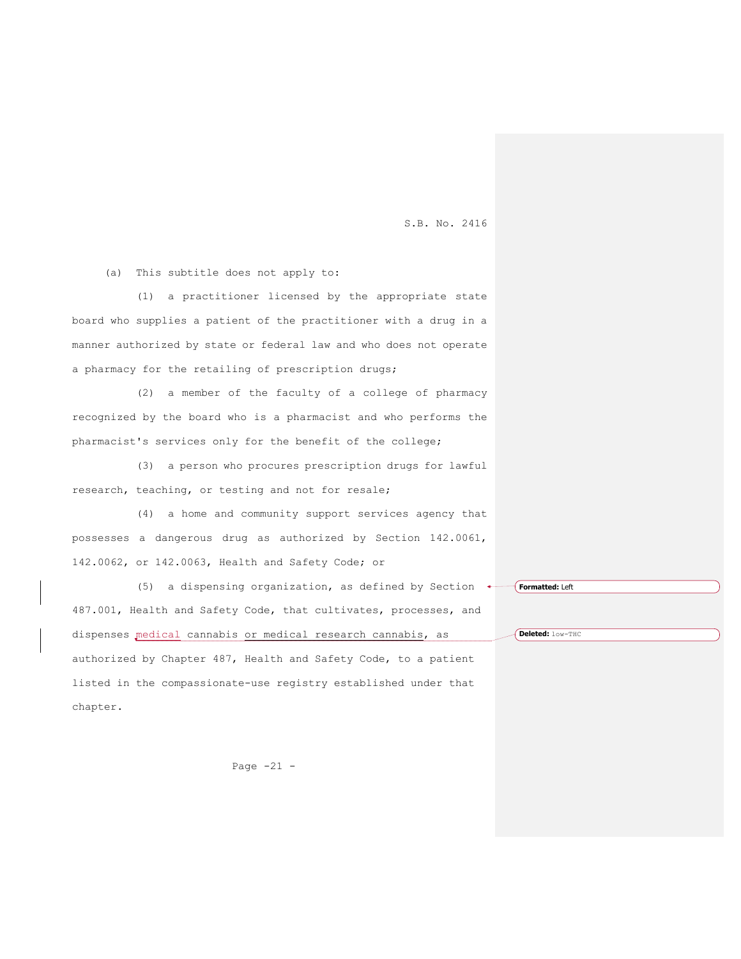(a) This subtitle does not apply to:

(1) a practitioner licensed by the appropriate state board who supplies a patient of the practitioner with a drug in a manner authorized by state or federal law and who does not operate a pharmacy for the retailing of prescription drugs;

(2) a member of the faculty of a college of pharmacy recognized by the board who is a pharmacist and who performs the pharmacist's services only for the benefit of the college;

(3) a person who procures prescription drugs for lawful research, teaching, or testing and not for resale;

(4) a home and community support services agency that possesses a dangerous drug as authorized by Section 142.0061, 142.0062, or 142.0063, Health and Safety Code; or

(5) a dispensing organization, as defined by Section  $\longleftarrow$  [**Formatted:** Left 487.001, Health and Safety Code, that cultivates, processes, and dispenses medical cannabis or medical research cannabis, as authorized by Chapter 487, Health and Safety Code, to a patient listed in the compassionate-use registry established under that chapter.

**Deleted:** low-THC

Page  $-21 -$